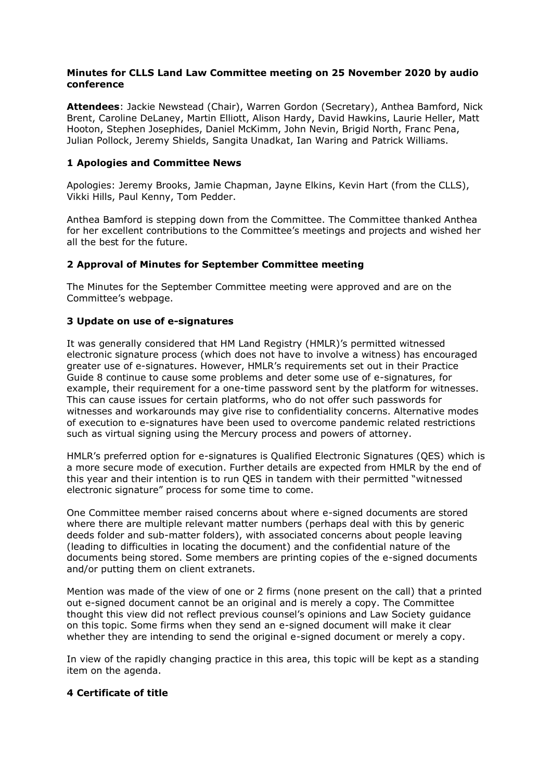### **Minutes for CLLS Land Law Committee meeting on 25 November 2020 by audio conference**

**Attendees**: Jackie Newstead (Chair), Warren Gordon (Secretary), Anthea Bamford, Nick Brent, Caroline DeLaney, Martin Elliott, Alison Hardy, David Hawkins, Laurie Heller, Matt Hooton, Stephen Josephides, Daniel McKimm, John Nevin, Brigid North, Franc Pena, Julian Pollock, Jeremy Shields, Sangita Unadkat, Ian Waring and Patrick Williams.

# **1 Apologies and Committee News**

Apologies: Jeremy Brooks, Jamie Chapman, Jayne Elkins, Kevin Hart (from the CLLS), Vikki Hills, Paul Kenny, Tom Pedder.

Anthea Bamford is stepping down from the Committee. The Committee thanked Anthea for her excellent contributions to the Committee's meetings and projects and wished her all the best for the future.

## **2 Approval of Minutes for September Committee meeting**

The Minutes for the September Committee meeting were approved and are on the Committee's webpage.

## **3 Update on use of e-signatures**

It was generally considered that HM Land Registry (HMLR)'s permitted witnessed electronic signature process (which does not have to involve a witness) has encouraged greater use of e-signatures. However, HMLR's requirements set out in their Practice Guide 8 continue to cause some problems and deter some use of e-signatures, for example, their requirement for a one-time password sent by the platform for witnesses. This can cause issues for certain platforms, who do not offer such passwords for witnesses and workarounds may give rise to confidentiality concerns. Alternative modes of execution to e-signatures have been used to overcome pandemic related restrictions such as virtual signing using the Mercury process and powers of attorney.

HMLR's preferred option for e-signatures is Qualified Electronic Signatures (QES) which is a more secure mode of execution. Further details are expected from HMLR by the end of this year and their intention is to run QES in tandem with their permitted "witnessed electronic signature" process for some time to come.

One Committee member raised concerns about where e-signed documents are stored where there are multiple relevant matter numbers (perhaps deal with this by generic deeds folder and sub-matter folders), with associated concerns about people leaving (leading to difficulties in locating the document) and the confidential nature of the documents being stored. Some members are printing copies of the e-signed documents and/or putting them on client extranets.

Mention was made of the view of one or 2 firms (none present on the call) that a printed out e-signed document cannot be an original and is merely a copy. The Committee thought this view did not reflect previous counsel's opinions and Law Society guidance on this topic. Some firms when they send an e-signed document will make it clear whether they are intending to send the original e-signed document or merely a copy.

In view of the rapidly changing practice in this area, this topic will be kept as a standing item on the agenda.

### **4 Certificate of title**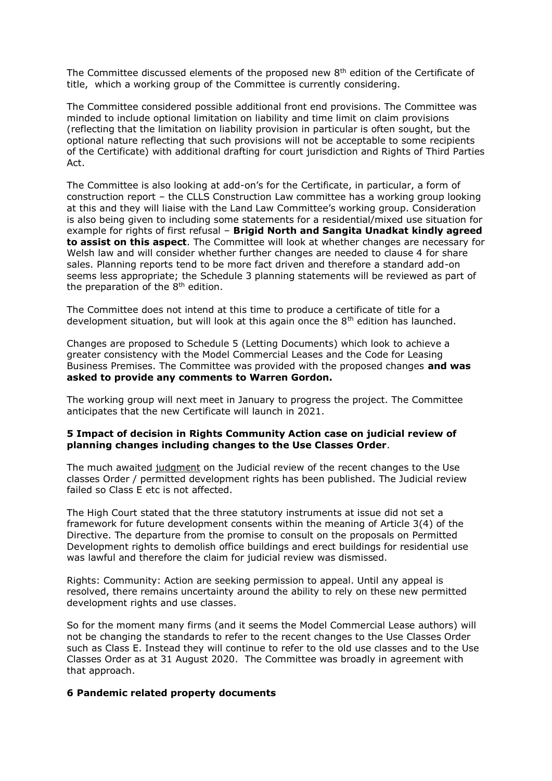The Committee discussed elements of the proposed new  $8<sup>th</sup>$  edition of the Certificate of title, which a working group of the Committee is currently considering.

The Committee considered possible additional front end provisions. The Committee was minded to include optional limitation on liability and time limit on claim provisions (reflecting that the limitation on liability provision in particular is often sought, but the optional nature reflecting that such provisions will not be acceptable to some recipients of the Certificate) with additional drafting for court jurisdiction and Rights of Third Parties Act.

The Committee is also looking at add-on's for the Certificate, in particular, a form of construction report – the CLLS Construction Law committee has a working group looking at this and they will liaise with the Land Law Committee's working group. Consideration is also being given to including some statements for a residential/mixed use situation for example for rights of first refusal – **Brigid North and Sangita Unadkat kindly agreed to assist on this aspect**. The Committee will look at whether changes are necessary for Welsh law and will consider whether further changes are needed to clause 4 for share sales. Planning reports tend to be more fact driven and therefore a standard add-on seems less appropriate; the Schedule 3 planning statements will be reviewed as part of the preparation of the  $8<sup>th</sup>$  edition.

The Committee does not intend at this time to produce a certificate of title for a development situation, but will look at this again once the  $8<sup>th</sup>$  edition has launched.

Changes are proposed to Schedule 5 (Letting Documents) which look to achieve a greater consistency with the Model Commercial Leases and the Code for Leasing Business Premises. The Committee was provided with the proposed changes **and was asked to provide any comments to Warren Gordon.**

The working group will next meet in January to progress the project. The Committee anticipates that the new Certificate will launch in 2021.

### **5 Impact of decision in Rights Community Action case on judicial review of planning changes including changes to the Use Classes Order**.

The much awaited [judgment](https://www.bailii.org/cgi-bin/format.cgi?doc=/ew/cases/EWHC/Admin/2020/3073.html&query=(title:(+rights+))+AND+(title:(+community+))+AND+(title:(+action+))) on the Judicial review of the recent changes to the Use classes Order / permitted development rights has been published. The Judicial review failed so Class E etc is not affected.

The High Court stated that the three statutory instruments at issue did not set a framework for future development consents within the meaning of Article 3(4) of the Directive. The departure from the promise to consult on the proposals on Permitted Development rights to demolish office buildings and erect buildings for residential use was lawful and therefore the claim for judicial review was dismissed.

Rights: Community: Action are seeking permission to appeal. Until any appeal is resolved, there remains uncertainty around the ability to rely on these new permitted development rights and use classes.

So for the moment many firms (and it seems the Model Commercial Lease authors) will not be changing the standards to refer to the recent changes to the Use Classes Order such as Class E. Instead they will continue to refer to the old use classes and to the Use Classes Order as at 31 August 2020. The Committee was broadly in agreement with that approach.

#### **6 Pandemic related property documents**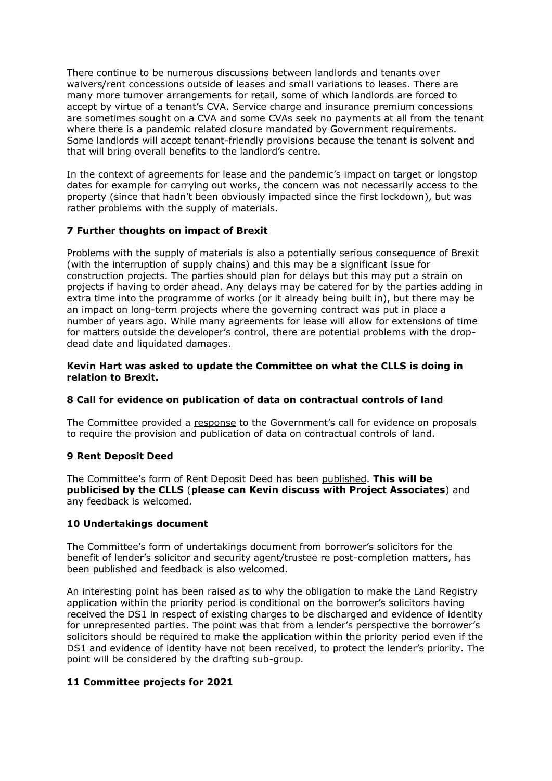There continue to be numerous discussions between landlords and tenants over waivers/rent concessions outside of leases and small variations to leases. There are many more turnover arrangements for retail, some of which landlords are forced to accept by virtue of a tenant's CVA. Service charge and insurance premium concessions are sometimes sought on a CVA and some CVAs seek no payments at all from the tenant where there is a pandemic related closure mandated by Government requirements. Some landlords will accept tenant-friendly provisions because the tenant is solvent and that will bring overall benefits to the landlord's centre.

In the context of agreements for lease and the pandemic's impact on target or longstop dates for example for carrying out works, the concern was not necessarily access to the property (since that hadn't been obviously impacted since the first lockdown), but was rather problems with the supply of materials.

# **7 Further thoughts on impact of Brexit**

Problems with the supply of materials is also a potentially serious consequence of Brexit (with the interruption of supply chains) and this may be a significant issue for construction projects. The parties should plan for delays but this may put a strain on projects if having to order ahead. Any delays may be catered for by the parties adding in extra time into the programme of works (or it already being built in), but there may be an impact on long-term projects where the governing contract was put in place a number of years ago. While many agreements for lease will allow for extensions of time for matters outside the developer's control, there are potential problems with the dropdead date and liquidated damages.

## **Kevin Hart was asked to update the Committee on what the CLLS is doing in relation to Brexit.**

# **8 Call for evidence on publication of data on contractual controls of land**

The Committee provided a [response](https://www.citysolicitors.org.uk/storage/2020/10/Call-for-evidence-on-Contractual-Controls-Pro-Forma-27-10-20.pdf) to the Government's call for evidence on proposals to require the provision and publication of data on contractual controls of land.

### **9 Rent Deposit Deed**

The Committee's form of Rent Deposit Deed has been [published.](https://www.citysolicitors.org.uk/storage/2020/09/City-of-London-Law-Society-Land-Law-Committee-Form-of-Rent-Deposit-Deed-September-2020-1.pdf) **This will be publicised by the CLLS** (**please can Kevin discuss with Project Associates**) and any feedback is welcomed.

### **10 Undertakings document**

The Committee's form of [undertakings document](http://www.citysolicitors.org.uk/clls/clls-precedent-documents/borrowers-solicitors-undertakings-for-benefit-of-lenders-solicitor-and-security-agent-trustee-re-post-completion-matters/) from borrower's solicitors for the benefit of lender's solicitor and security agent/trustee re post-completion matters, has been published and feedback is also welcomed.

An interesting point has been raised as to why the obligation to make the Land Registry application within the priority period is conditional on the borrower's solicitors having received the DS1 in respect of existing charges to be discharged and evidence of identity for unrepresented parties. The point was that from a lender's perspective the borrower's solicitors should be required to make the application within the priority period even if the DS1 and evidence of identity have not been received, to protect the lender's priority. The point will be considered by the drafting sub-group.

# **11 Committee projects for 2021**